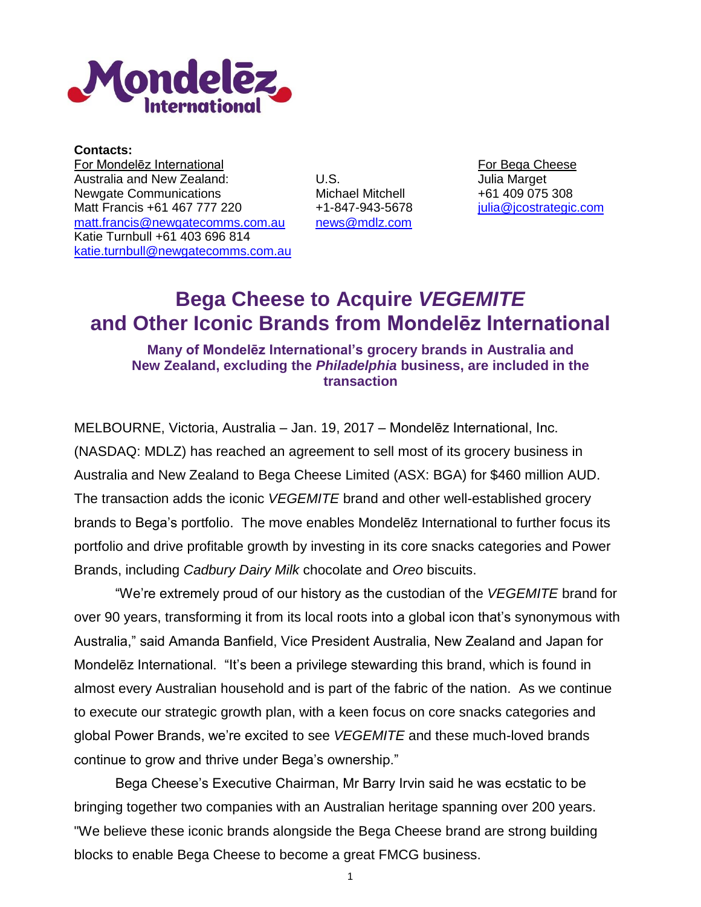

**Contacts:** For Mondelēz International **For Bega Cheese** For Bega Cheese Australia and New Zealand: Newgate Communications Matt Francis +61 467 777 220 [matt.francis@newgatecomms.com.au](mailto:matt.francis@newgatecomms.com.au) Katie Turnbull +61 403 696 814 [katie.turnbull@newgatecomms.com.au](mailto:katie.turnbull@newgatecomms.com.au)

U.S. Michael Mitchell +1-847-943-5678 [news@mdlz.com](mailto:news@mdlz.com) Julia Marget +61 409 075 308 [julia@jcostrategic.com](mailto:julia@jcostrategic.com)

# **Bega Cheese to Acquire** *VEGEMITE* **and Other Iconic Brands from Mondelēz International**

# **Many of Mondelēz International's grocery brands in Australia and New Zealand, excluding the** *Philadelphia* **business, are included in the transaction**

MELBOURNE, Victoria, Australia – Jan. 19, 2017 – Mondelēz International, Inc. (NASDAQ: MDLZ) has reached an agreement to sell most of its grocery business in Australia and New Zealand to Bega Cheese Limited (ASX: BGA) for \$460 million AUD. The transaction adds the iconic *VEGEMITE* brand and other well-established grocery brands to Bega's portfolio. The move enables Mondelēz International to further focus its portfolio and drive profitable growth by investing in its core snacks categories and Power Brands, including *Cadbury Dairy Milk* chocolate and *Oreo* biscuits.

"We're extremely proud of our history as the custodian of the *VEGEMITE* brand for over 90 years, transforming it from its local roots into a global icon that's synonymous with Australia," said Amanda Banfield, Vice President Australia, New Zealand and Japan for Mondelēz International. "It's been a privilege stewarding this brand, which is found in almost every Australian household and is part of the fabric of the nation. As we continue to execute our strategic growth plan, with a keen focus on core snacks categories and global Power Brands, we're excited to see *VEGEMITE* and these much-loved brands continue to grow and thrive under Bega's ownership."

Bega Cheese's Executive Chairman, Mr Barry Irvin said he was ecstatic to be bringing together two companies with an Australian heritage spanning over 200 years. "We believe these iconic brands alongside the Bega Cheese brand are strong building blocks to enable Bega Cheese to become a great FMCG business.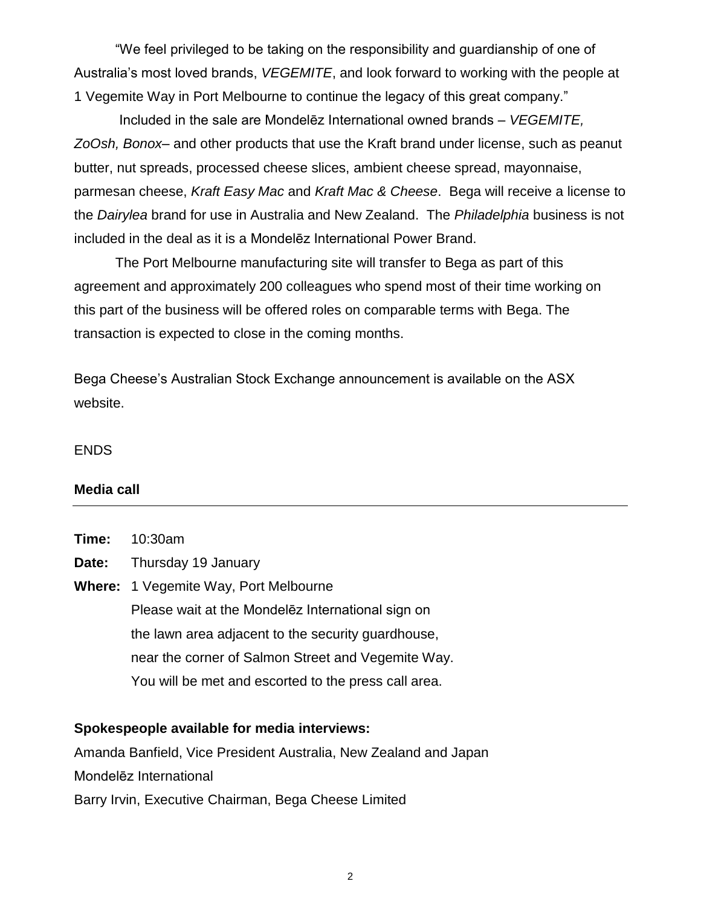"We feel privileged to be taking on the responsibility and guardianship of one of Australia's most loved brands, *VEGEMITE*, and look forward to working with the people at 1 Vegemite Way in Port Melbourne to continue the legacy of this great company."

Included in the sale are Mondelēz International owned brands – *VEGEMITE, ZoOsh, Bonox*– and other products that use the Kraft brand under license, such as peanut butter, nut spreads, processed cheese slices, ambient cheese spread, mayonnaise, parmesan cheese, *Kraft Easy Mac* and *Kraft Mac & Cheese*. Bega will receive a license to the *Dairylea* brand for use in Australia and New Zealand. The *Philadelphia* business is not included in the deal as it is a Mondelēz International Power Brand.

The Port Melbourne manufacturing site will transfer to Bega as part of this agreement and approximately 200 colleagues who spend most of their time working on this part of the business will be offered roles on comparable terms with Bega. The transaction is expected to close in the coming months.

Bega Cheese's Australian Stock Exchange announcement is available on the ASX website.

ENDS

## **Media call**

| Time: | 10:30am                                              |
|-------|------------------------------------------------------|
| Date: | Thursday 19 January                                  |
|       | <b>Where:</b> 1 Vegemite Way, Port Melbourne         |
|       | Please wait at the Mondelez International sign on    |
|       | the lawn area adjacent to the security guardhouse,   |
|       | near the corner of Salmon Street and Vegemite Way.   |
|       | You will be met and escorted to the press call area. |
|       |                                                      |

### **Spokespeople available for media interviews:**

Amanda Banfield, Vice President Australia, New Zealand and Japan Mondelēz International Barry Irvin, Executive Chairman, Bega Cheese Limited